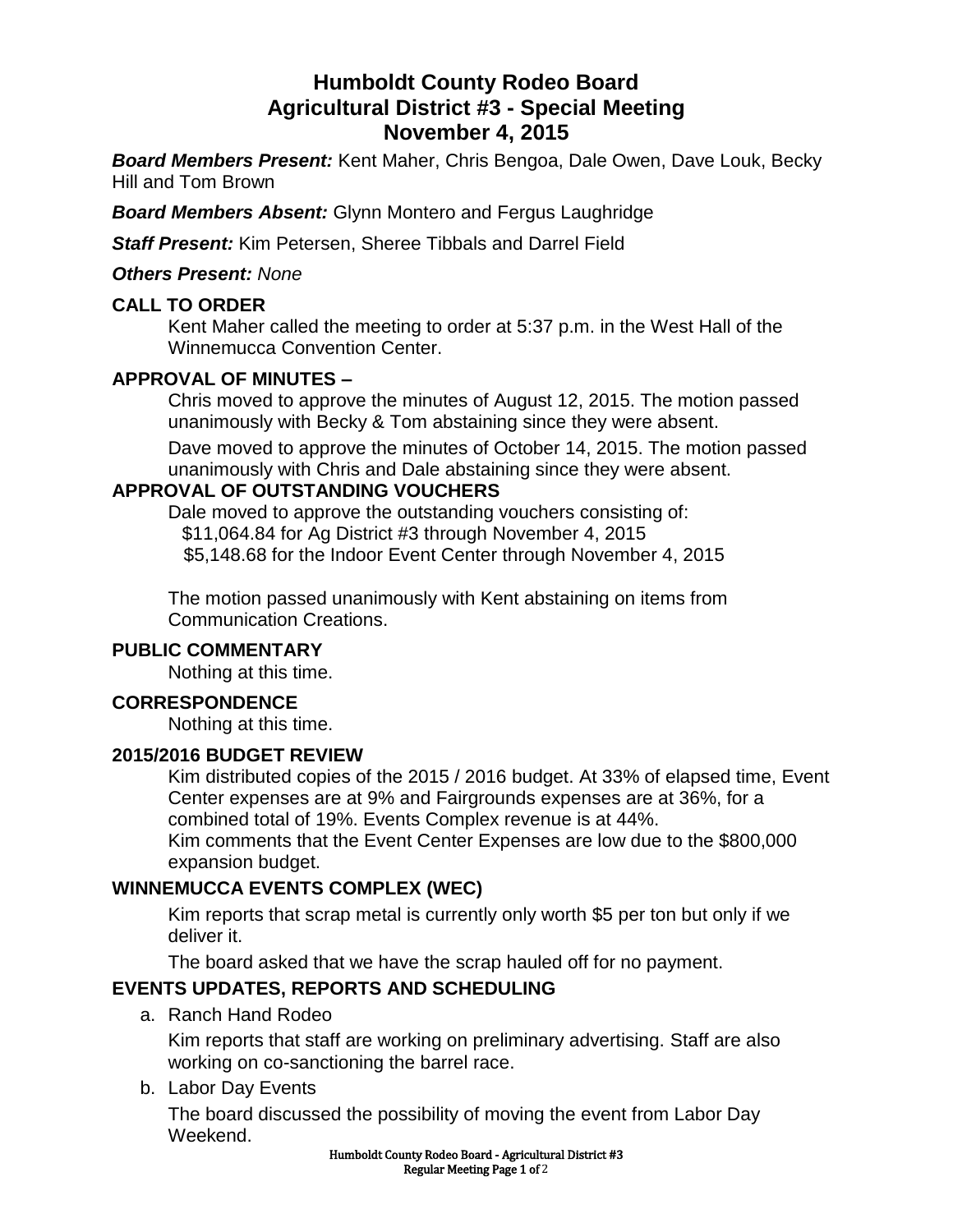# **Humboldt County Rodeo Board Agricultural District #3 - Special Meeting November 4, 2015**

*Board Members Present:* Kent Maher, Chris Bengoa, Dale Owen, Dave Louk, Becky Hill and Tom Brown

*Board Members Absent:* Glynn Montero and Fergus Laughridge

*Staff Present:* Kim Petersen, Sheree Tibbals and Darrel Field

#### *Others Present: None*

#### **CALL TO ORDER**

Kent Maher called the meeting to order at 5:37 p.m. in the West Hall of the Winnemucca Convention Center.

### **APPROVAL OF MINUTES –**

Chris moved to approve the minutes of August 12, 2015. The motion passed unanimously with Becky & Tom abstaining since they were absent.

Dave moved to approve the minutes of October 14, 2015. The motion passed unanimously with Chris and Dale abstaining since they were absent.

### **APPROVAL OF OUTSTANDING VOUCHERS**

Dale moved to approve the outstanding vouchers consisting of: \$11,064.84 for Ag District #3 through November 4, 2015 \$5,148.68 for the Indoor Event Center through November 4, 2015

The motion passed unanimously with Kent abstaining on items from Communication Creations.

### **PUBLIC COMMENTARY**

Nothing at this time.

#### **CORRESPONDENCE**

Nothing at this time.

#### **2015/2016 BUDGET REVIEW**

Kim distributed copies of the 2015 / 2016 budget. At 33% of elapsed time, Event Center expenses are at 9% and Fairgrounds expenses are at 36%, for a combined total of 19%. Events Complex revenue is at 44%. Kim comments that the Event Center Expenses are low due to the \$800,000 expansion budget.

### **WINNEMUCCA EVENTS COMPLEX (WEC)**

Kim reports that scrap metal is currently only worth \$5 per ton but only if we deliver it.

The board asked that we have the scrap hauled off for no payment.

# **EVENTS UPDATES, REPORTS AND SCHEDULING**

a. Ranch Hand Rodeo

Kim reports that staff are working on preliminary advertising. Staff are also working on co-sanctioning the barrel race.

#### b. Labor Day Events

The board discussed the possibility of moving the event from Labor Day Weekend.